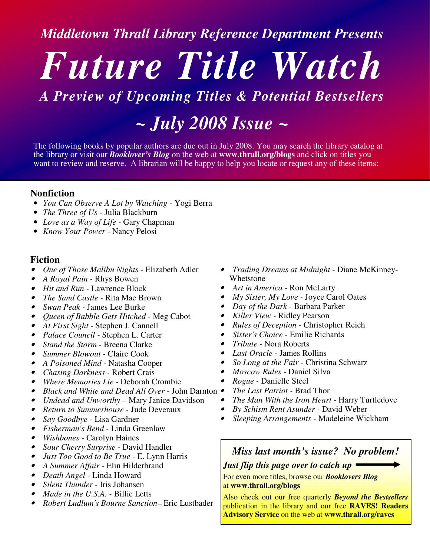*Middletown Thrall Library Reference Department Presents*

# *Future Title Watch*

## *A Preview of Upcoming Titles & Potential Bestsellers*

*~ July 2008 Issue ~*

The following books by popular authors are due out in July 2008. You may search the library catalog at the library or visit our *Booklover's Blog* on the web at **www.thrall.org/blogs** and click on titles you want to review and reserve. A librarian will be happy to help you locate or request any of these items:

### **Nonfiction**

- *You Can Observe A Lot by Watching -* Yogi Berra
- *The Three of Us -* Julia Blackburn
- *Love as a Way of Life -* Gary Chapman
- *Know Your Power -* Nancy Pelosi

#### **Fiction**

- •*One of Those Malibu Nights* - Elizabeth Adler
- •*A Royal Pain -* Rhys Bowen
- *Hit and Run -* Lawrence Block
- •*The Sand Castle -* Rita Mae Brown
- *Swan Peak -* James Lee Burke
- *Queen of Babble Gets Hitched -* Meg Cabot
- *At First Sight -* Stephen J. Cannell
- *Palace Council -* Stephen L. Carter
- *Stand the Storm -* Breena Clarke
- *Summer Blowout -* Claire Cook
- *A Poisoned Mind -* Natasha Cooper
- •*Chasing Darkness -* Robert Crais
- •*Where Memories Lie -* Deborah Crombie
- •*Black and White and Dead All Over -* John Darnton •
- •*Undead and Unworthy –* Mary Janice Davidson
- •*Return to Summerhouse -* Jude Deveraux
- •*Say Goodbye -* Lisa Gardner
- *Fisherman's Bend -* Linda Greenlaw
- *Wishbones -* Carolyn Haines
- •*Sour Cherry Surprise -* David Handler
- •*Just Too Good to Be True -* E. Lynn Harris
- *A Summer Affair -* Elin Hilderbrand
- *Death Angel -* Linda Howard
- •*Silent Thunder -* Iris Johansen
- •*Made in the U.S.A. -* Billie Letts
- •*Robert Ludlum's Bourne Sanction–* Eric Lustbader
- *Trading Dreams at Midnight -* Diane McKinney-Whetstone
- *Art in America -* Ron McLarty
- •*My Sister, My Love -* Joyce Carol Oates
- •*Day of the Dark -* Barbara Parker
- *Killer View -* Ridley Pearson
- *Rules of Deception -* Christopher Reich
- *Sister's Choice -* Emilie Richards
- *Tribute -* Nora Roberts
- •*Last Oracle -* James Rollins
- •*So Long at the Fair -* Christina Schwarz
- •*Moscow Rules -* Daniel Silva
- •*Rogue -* Danielle Steel
- *The Last Patriot -* Brad Thor
- •*The Man With the Iron Heart -* Harry Turtledove
- •*By Schism Rent Asunder -* David Weber
- •*Sleeping Arrangements -* Madeleine Wickham

## *Miss last month's issue? No problem!*

*Just flip this page over to catch up*

For even more titles, browse our *Booklovers Blog* at **www.thrall.org/blogs**

Also check out our free quarterly *Beyond the Bestsellers* publication in the library and our free **RAVES! Readers Advisory Service** on the web at **www.thrall.org/raves**